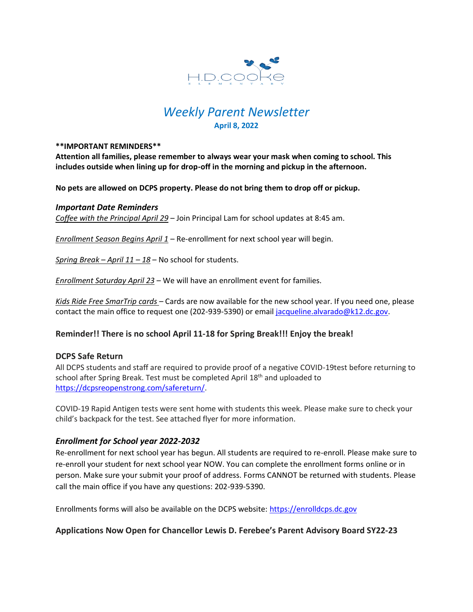

# *Weekly Parent Newsletter* **April 8, 2022**

#### **\*\*IMPORTANT REMINDERS\*\***

**Attention all families, please remember to always wear your mask when coming to school. This includes outside when lining up for drop-off in the morning and pickup in the afternoon.** 

**No pets are allowed on DCPS property. Please do not bring them to drop off or pickup.** 

## *Important Date Reminders*

*Coffee with the Principal April 29* – Join Principal Lam for school updates at 8:45 am.

*Enrollment Season Begins April 1* – Re-enrollment for next school year will begin.

*Spring Break – April 11 – 18* – No school for students.

*Enrollment Saturday April 23* – We will have an enrollment event for families.

*Kids Ride Free SmarTrip cards* – Cards are now available for the new school year. If you need one, please contact the main office to request one (202-939-5390) or email [jacqueline.alvarado@k12.dc.gov.](mailto:jacqueline.alvarado@k12.dc.gov)

# **Reminder!! There is no school April 11-18 for Spring Break!!! Enjoy the break!**

## **DCPS Safe Return**

All DCPS students and staff are required to provide proof of a negative COVID-19test before returning to school after Spring Break. Test must be completed April 18<sup>th</sup> and uploaded to [https://dcpsreopenstrong.com/safereturn/.](https://dcpsreopenstrong.com/safereturn/)

COVID-19 Rapid Antigen tests were sent home with students this week. Please make sure to check your child's backpack for the test. See attached flyer for more information.

# *Enrollment for School year 2022-2032*

Re-enrollment for next school year has begun. All students are required to re-enroll. Please make sure to re-enroll your student for next school year NOW. You can complete the enrollment forms online or in person. Make sure your submit your proof of address. Forms CANNOT be returned with students. Please call the main office if you have any questions: 202-939-5390.

Enrollments forms will also be available on the DCPS website: [https://enrolldcps.dc.gov](https://enrolldcps.dc.gov/)

# **Applications Now Open for Chancellor Lewis D. Ferebee's Parent Advisory Board SY22-23**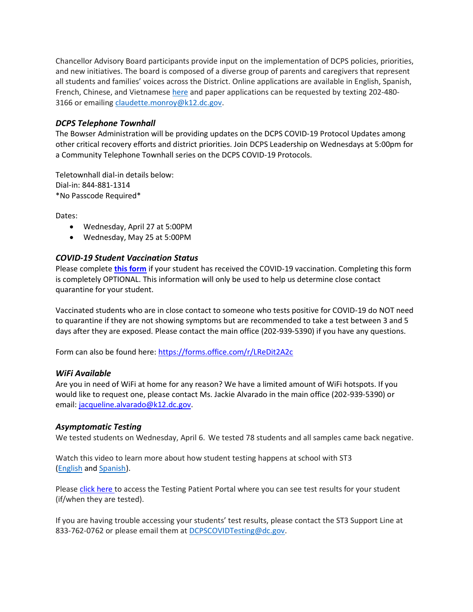Chancellor Advisory Board participants provide input on the implementation of DCPS policies, priorities, and new initiatives. The board is composed of a diverse group of parents and caregivers that represent all students and families' voices across the District. Online applications are available in English, Spanish, French, Chinese, and Vietnamese [here](https://dck12.sharepoint.com/:f:/s/DCPSWay/EhyXv9oxJ_JFgnk9EvTliJ8BysBM4yHoBrmVAGZCsesQsA) and paper applications can be requested by texting 202-4803166 or emailing [claudette.monroy@k12.dc.gov.](mailto:claudette.monroy@k12.dc.gov)

# *DCPS Telephone Townhall*

The Bowser Administration will be providing updates on the DCPS COVID-19 Protocol Updates among other critical recovery efforts and district priorities. Join DCPS Leadership on Wednesdays at 5:00pm for a Community Telephone Townhall series on the DCPS COVID-19 Protocols.

Teletownhall dial-in details below: Dial-in: 844-881-1314 \*No Passcode Required\*

Dates:

- Wednesday, April 27 at 5:00PM
- Wednesday, May 25 at 5:00PM

# *COVID-19 Student Vaccination Status*

Please complete **[this form](https://forms.office.com/r/LReDit2A2c)** if your student has received the COVID-19 vaccination. Completing this form is completely OPTIONAL. This information will only be used to help us determine close contact quarantine for your student.

Vaccinated students who are in close contact to someone who tests positive for COVID-19 do NOT need to quarantine if they are not showing symptoms but are recommended to take a test between 3 and 5 days after they are exposed. Please contact the main office (202-939-5390) if you have any questions.

Form can also be found here:<https://forms.office.com/r/LReDit2A2c>

## *WiFi Available*

Are you in need of WiFi at home for any reason? We have a limited amount of WiFi hotspots. If you would like to request one, please contact Ms. Jackie Alvarado in the main office (202-939-5390) or email: [jacqueline.alvarado@k12.dc.gov.](mailto:jacqueline.alvarado@k12.dc.gov)

# *Asymptomatic Testing*

We tested students on Wednesday, April 6. We tested 78 students and all samples came back negative.

Watch this video to learn more about how student testing happens at school with ST3 [\(English](https://urldefense.proofpoint.com/v2/url?u=https-3A__rise.articulate.com_share_-2Dq6MdIeo2V42boWuOGTu8i4-2DcT9E-5Fpjy-23_lessons_QicMYr-5FNcrCg54C5EtRyuC-2DwHJjQQVR2&d=DwMFAg&c=euGZstcaTDllvimEN8b7jXrwqOf-v5A_CdpgnVfiiMM&r=r7MsakikdNxOh-N_Ssj9mdJUMRjWvhYw18Eqx42UE40&m=-vbhK74dxdF3UGFM3KXX_Mk-PGWZWrPZHiFLh_rcYM0&s=470EC6i3UbApDRfaxDIuMzBPFqhzK2pNSc-krTjYzOw&e=) and [Spanish\)](https://urldefense.proofpoint.com/v2/url?u=https-3A__youtu.be_PRaXjkFlGGQ&d=DwMFAg&c=euGZstcaTDllvimEN8b7jXrwqOf-v5A_CdpgnVfiiMM&r=r7MsakikdNxOh-N_Ssj9mdJUMRjWvhYw18Eqx42UE40&m=-vbhK74dxdF3UGFM3KXX_Mk-PGWZWrPZHiFLh_rcYM0&s=yCXksETv2O2ZulcBl9cazNcOvmB9Inp-drZAlbuFkaw&e=).

Please click [here](https://shieldt3k12portal.pointnclick.com/login_login.aspx) to access the Testing Patient Portal where you can see test results for your student (if/when they are tested).

If you are having trouble accessing your students' test results, please contact the ST3 Support Line at 833-762-0762 or please email them at [DCPSCOVIDTesting@dc.gov.](mailto:DCPSCOVIDTesting@dc.gov)